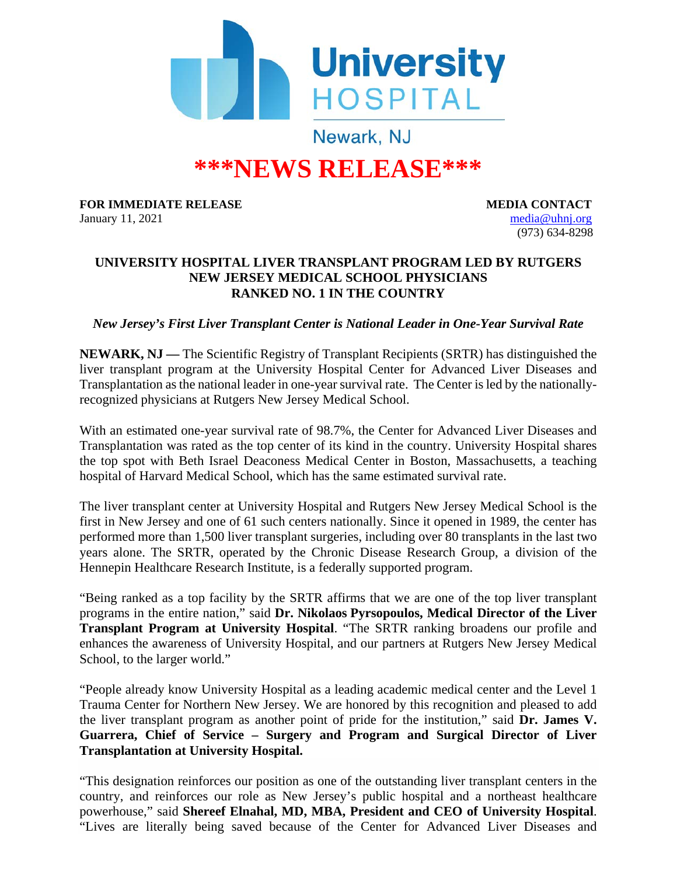

## **\*\*\*NEWS RELEASE\*\*\***

**FOR IMMEDIATE RELEASE MEDIA CONTACT** January 11, 2021 [media@uhnj.org](mailto:media@uhnj.org)

(973) 634-8298

## **UNIVERSITY HOSPITAL LIVER TRANSPLANT PROGRAM LED BY RUTGERS NEW JERSEY MEDICAL SCHOOL PHYSICIANS RANKED NO. 1 IN THE COUNTRY**

*New Jersey's First Liver Transplant Center is National Leader in One-Year Survival Rate*

**NEWARK, NJ —** The Scientific Registry of Transplant Recipients (SRTR) has distinguished the liver transplant program at the University Hospital Center for Advanced Liver Diseases and Transplantation as the national leader in one-year survival rate. The Center is led by the nationallyrecognized physicians at Rutgers New Jersey Medical School.

With an estimated one-year survival rate of 98.7%, the Center for Advanced Liver Diseases and Transplantation was rated as the top center of its kind in the country. University Hospital shares the top spot with Beth Israel Deaconess Medical Center in Boston, Massachusetts, a teaching hospital of Harvard Medical School, which has the same estimated survival rate.

The liver transplant center at University Hospital and Rutgers New Jersey Medical School is the first in New Jersey and one of 61 such centers nationally. Since it opened in 1989, the center has performed more than 1,500 liver transplant surgeries, including over 80 transplants in the last two years alone. The SRTR, operated by the Chronic Disease Research Group, a division of the Hennepin Healthcare Research Institute, is a federally supported program.

"Being ranked as a top facility by the SRTR affirms that we are one of the top liver transplant programs in the entire nation," said **Dr. Nikolaos Pyrsopoulos, Medical Director of the Liver Transplant Program at University Hospital**. "The SRTR ranking broadens our profile and enhances the awareness of University Hospital, and our partners at Rutgers New Jersey Medical School, to the larger world."

"People already know University Hospital as a leading academic medical center and the Level 1 Trauma Center for Northern New Jersey. We are honored by this recognition and pleased to add the liver transplant program as another point of pride for the institution," said **Dr. James V. Guarrera, Chief of Service – Surgery and Program and Surgical Director of Liver Transplantation at University Hospital.** 

"This designation reinforces our position as one of the outstanding liver transplant centers in the country, and reinforces our role as New Jersey's public hospital and a northeast healthcare powerhouse," said **Shereef Elnahal, MD, MBA, President and CEO of University Hospital**. "Lives are literally being saved because of the Center for Advanced Liver Diseases and